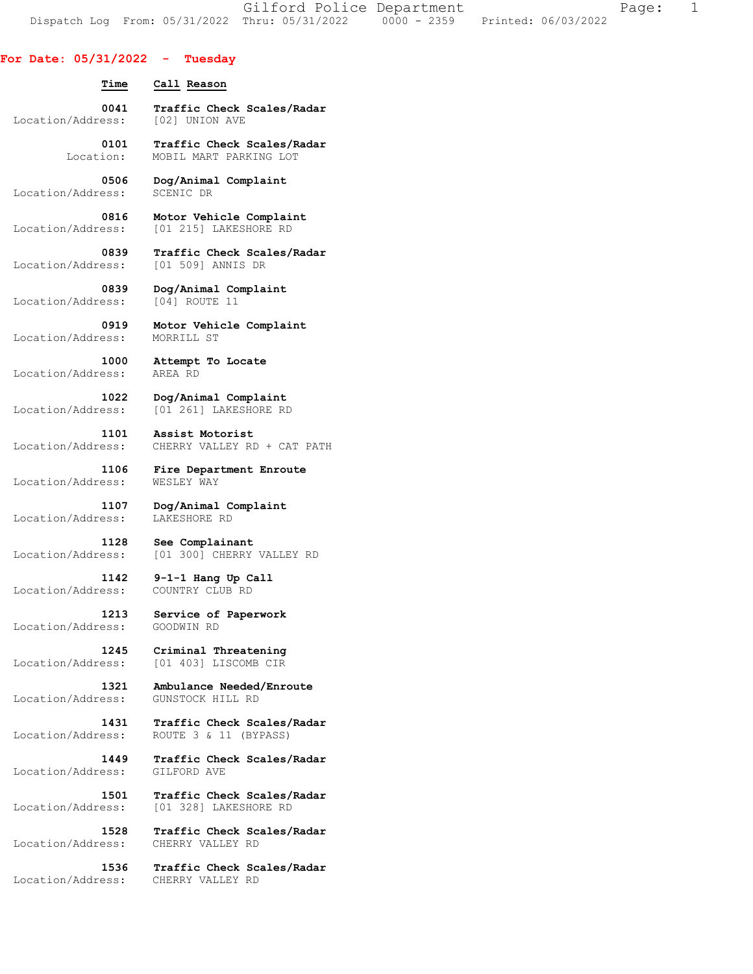Gilford Police Department The Page: 1 Dispatch Log From: 05/31/2022 Thru: 05/31/2022 0000 - 2359 Printed: 06/03/2022

## **For Date: 05/31/2022 - Tuesday**

| Time              | Call Reason                                        |
|-------------------|----------------------------------------------------|
| 0041              | Traffic Check Scales/Radar                         |
| Location/Address: | [02] UNION AVE                                     |
| 0101              | Traffic Check Scales/Radar                         |
| Location:         | MOBIL MART PARKING LOT                             |
| 0506 -            | Dog/Animal Complaint                               |
| Location/Address: | SCENIC DR                                          |
| 0816              | Motor Vehicle Complaint                            |
| Location/Address: | [01 215] LAKESHORE RD                              |
| 0839              | Traffic Check Scales/Radar                         |
| Location/Address: | [01 509] ANNIS DR                                  |
| 0839              | Dog/Animal Complaint                               |
| Location/Address: | [04] ROUTE 11                                      |
| 0919              | Motor Vehicle Complaint                            |
| Location/Address: | MORRILL ST                                         |
| 1000              | Attempt To Locate                                  |
| Location/Address: | AREA RD                                            |
| Location/Address: | 1022 Dog/Animal Complaint<br>[01 261] LAKESHORE RD |
| 1101              | Assist Motorist                                    |
| Location/Address: | CHERRY VALLEY RD + CAT PATH                        |
| 1106              | Fire Department Enroute                            |
| Location/Address: | WESLEY WAY                                         |
| 1107 - 1          | Dog/Animal Complaint                               |
| Location/Address: | LAKESHORE RD                                       |
| 1128              | See Complainant                                    |
| Location/Address: | [01 300] CHERRY VALLEY RD                          |
| 1142              | 9-1-1 Hang Up Call                                 |
| Location/Address: | COUNTRY CLUB RD                                    |
| 1213              | Service of Paperwork                               |
| Location/Address: | GOODWIN RD                                         |
| 1245              | Criminal Threatening                               |
| Location/Address: | [01 403] LISCOMB CIR                               |
| 1321              | Ambulance Needed/Enroute                           |
| Location/Address: | GUNSTOCK HILL RD                                   |
| 1431              | Traffic Check Scales/Radar                         |
| Location/Address: | ROUTE 3 & 11 (BYPASS)                              |
| 1449              | Traffic Check Scales/Radar                         |
| Location/Address: | GILFORD AVE                                        |
| 1501              | Traffic Check Scales/Radar                         |
| Location/Address: | [01 328] LAKESHORE RD                              |
| 1528              | Traffic Check Scales/Radar                         |
| Location/Address: | CHERRY VALLEY RD                                   |
| 1536              | Traffic Check Scales/Radar                         |
| Location/Address: | CHERRY VALLEY RD                                   |